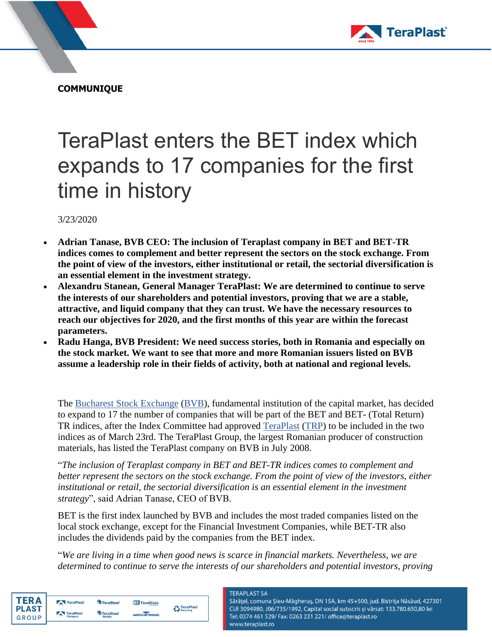

**COMMUNIQUE**

## TeraPlast enters the BET index which expands to 17 companies for the first time in history

3/23/2020

- **Adrian Tanase, BVB CEO: The inclusion of Teraplast company in BET and BET-TR indices comes to complement and better represent the sectors on the stock exchange. From the point of view of the investors, either institutional or retail, the sectorial diversification is an essential element in the investment strategy.**
- **Alexandru Stanean, General Manager TeraPlast: We are determined to continue to serve the interests of our shareholders and potential investors, proving that we are a stable, attractive, and liquid company that they can trust. We have the necessary resources to reach our objectives for 2020, and the first months of this year are within the forecast parameters.**
- **Radu Hanga, BVB President: We need success stories, both in Romania and especially on the stock market. We want to see that more and more Romanian issuers listed on BVB assume a leadership role in their fields of activity, both at national and regional levels.**

The [Bucharest Stock Exchange](http://www.bvb.ro/) [\(BVB\)](http://www.bvb.ro/FinancialInstruments/Details/FinancialInstrumentsDetails.aspx?s=BVB), fundamental institution of the capital market, has decided to expand to 17 the number of companies that will be part of the BET and BET- (Total Return) TR indices, after the Index Committee had approved [TeraPlast](https://www.teraplast.ro/) [\(TRP\)](http://bvb.ro/FinancialInstruments/Details/FinancialInstrumentsDetails.aspx?s=TRP) to be included in the two indices as of March 23rd. The TeraPlast Group, the largest Romanian producer of construction materials, has listed the TeraPlast company on BVB in July 2008.

"*The inclusion of Teraplast company in BET and BET-TR indices comes to complement and better represent the sectors on the stock exchange. From the point of view of the investors, either*  institutional or retail, the sectorial diversification is an essential element in the investment *strategy*", said Adrian Tanase, CEO of BVB.

BET is the first index launched by BVB and includes the most traded companies listed on the local stock exchange, except for the Financial Investment Companies, while BET-TR also includes the dividends paid by the companies from the BET index.

"*We are living in a time when good news is scarce in financial markets. Nevertheless, we are determined to continue to serve the interests of our shareholders and potential investors, proving* 



| TeraPlast                                 | <sup>4</sup> TeraSteel            | <b>TTT</b> TeraGlass |                    |
|-------------------------------------------|-----------------------------------|----------------------|--------------------|
| TeraPlast<br><b>CONTRACTOR</b><br>Hungary | <b>TeraSteel</b><br><b>Serbia</b> | wetterbest           | <b>C</b> TeraPlast |

## **TERAPLAST SA**

Sărățel, comuna Șieu-Măgheruș, DN 15A, km 45+500, jud. Bistrița Năsăud, 427301 CUI 3094980, J06/735/1992, Capital social subscris și vărsat: 133.780.650,80 lei Tel: 0374 461 529/ Fax: 0263 231 221/ office@teraplast.ro www.teraplast.ro